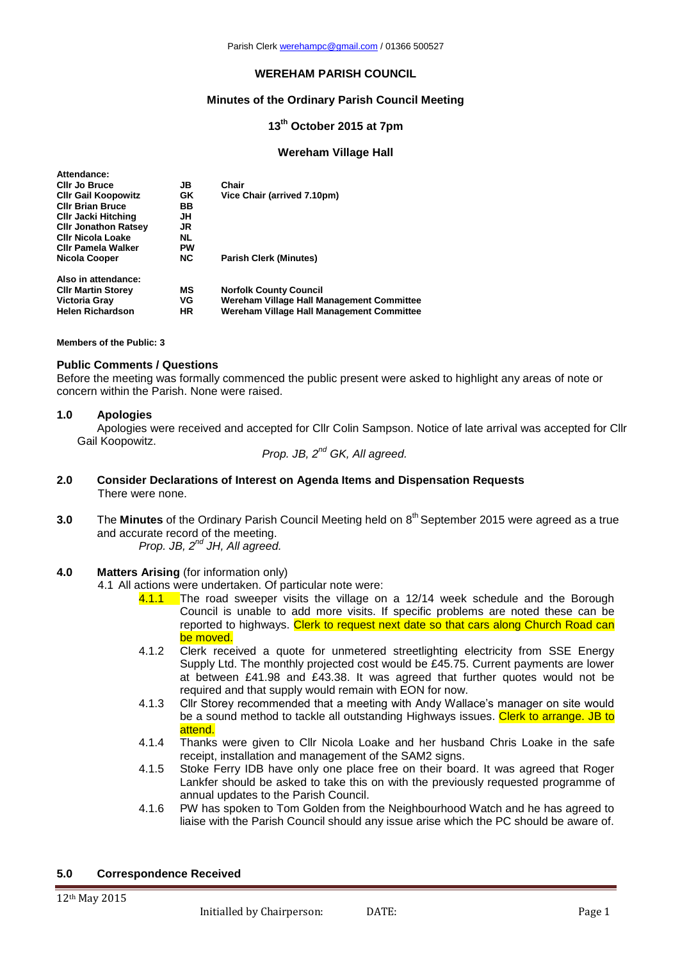## **WEREHAM PARISH COUNCIL**

## **Minutes of the Ordinary Parish Council Meeting**

# **13th October 2015 at 7pm**

### **Wereham Village Hall**

| Attendance:                 |           |                                           |
|-----------------------------|-----------|-------------------------------------------|
| <b>CIIr Jo Bruce</b>        | JB        | Chair                                     |
| <b>CIIr Gail Koopowitz</b>  | <b>GK</b> | Vice Chair (arrived 7.10pm)               |
| <b>CIIr Brian Bruce</b>     | BB.       |                                           |
| <b>CIIr Jacki Hitching</b>  | JΗ        |                                           |
| <b>CIIr Jonathon Ratsey</b> | JR        |                                           |
| <b>CIIr Nicola Loake</b>    | <b>NL</b> |                                           |
| Clir Pamela Walker          | PW        |                                           |
| Nicola Cooper               | NC.       | <b>Parish Clerk (Minutes)</b>             |
| Also in attendance:         |           |                                           |
| <b>CIIr Martin Storey</b>   | МS        | <b>Norfolk County Council</b>             |
| Victoria Gray               | VG        | Wereham Village Hall Management Committee |
| <b>Helen Richardson</b>     | HR        | Wereham Village Hall Management Committee |

**Members of the Public: 3**

## **Public Comments / Questions**

Before the meeting was formally commenced the public present were asked to highlight any areas of note or concern within the Parish. None were raised.

### **1.0 Apologies**

Apologies were received and accepted for Cllr Colin Sampson. Notice of late arrival was accepted for Cllr Gail Koopowitz.

*Prop. JB, 2nd GK, All agreed.*

- **2.0 Consider Declarations of Interest on Agenda Items and Dispensation Requests** There were none.
- **3.0** The Minutes of the Ordinary Parish Council Meeting held on 8<sup>th</sup> September 2015 were agreed as a true and accurate record of the meeting. Prop. JB, 2<sup>nd</sup> JH, All agreed.
- **4.0 Matters Arising** (for information only)
	- 4.1 All actions were undertaken. Of particular note were:
		- 4.1.1 The road sweeper visits the village on a 12/14 week schedule and the Borough Council is unable to add more visits. If specific problems are noted these can be reported to highways. Clerk to request next date so that cars along Church Road can be moved.
		- 4.1.2 Clerk received a quote for unmetered streetlighting electricity from SSE Energy Supply Ltd. The monthly projected cost would be £45.75. Current payments are lower at between £41.98 and £43.38. It was agreed that further quotes would not be required and that supply would remain with EON for now.
		- 4.1.3 Cllr Storey recommended that a meeting with Andy Wallace's manager on site would be a sound method to tackle all outstanding Highways issues. Clerk to arrange. JB to attend.
		- 4.1.4 Thanks were given to Cllr Nicola Loake and her husband Chris Loake in the safe receipt, installation and management of the SAM2 signs.
		- 4.1.5 Stoke Ferry IDB have only one place free on their board. It was agreed that Roger Lankfer should be asked to take this on with the previously requested programme of annual updates to the Parish Council.
		- 4.1.6 PW has spoken to Tom Golden from the Neighbourhood Watch and he has agreed to liaise with the Parish Council should any issue arise which the PC should be aware of.

### **5.0 Correspondence Received**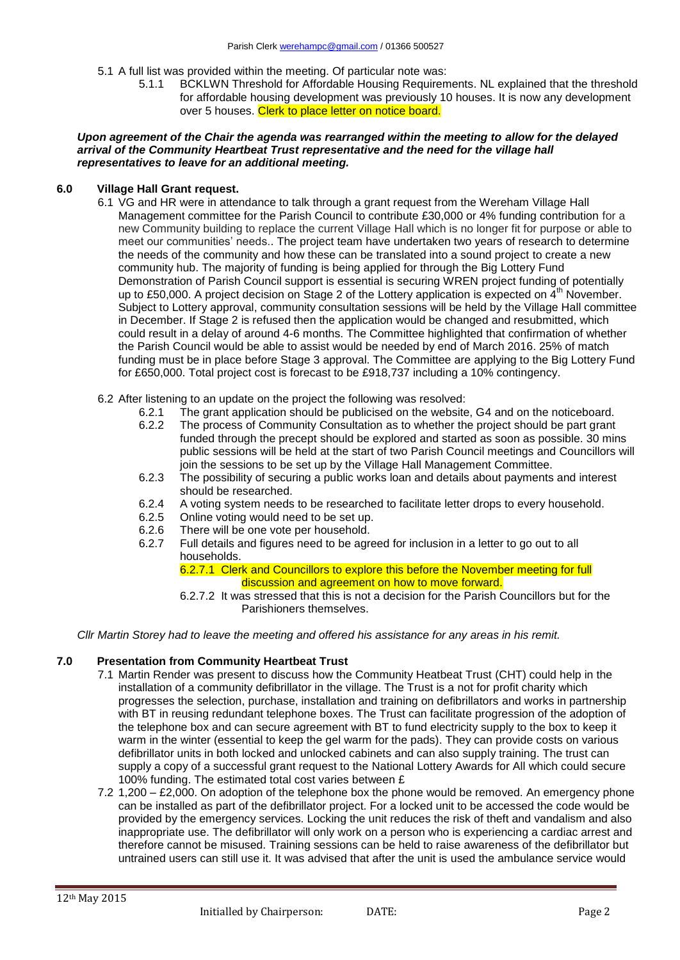- 5.1 A full list was provided within the meeting. Of particular note was:
	- 5.1.1 BCKLWN Threshold for Affordable Housing Requirements. NL explained that the threshold for affordable housing development was previously 10 houses. It is now any development over 5 houses. Clerk to place letter on notice board.

### *Upon agreement of the Chair the agenda was rearranged within the meeting to allow for the delayed arrival of the Community Heartbeat Trust representative and the need for the village hall representatives to leave for an additional meeting.*

## **6.0 Village Hall Grant request.**

- 6.1 VG and HR were in attendance to talk through a grant request from the Wereham Village Hall Management committee for the Parish Council to contribute £30,000 or 4% funding contribution for a new Community building to replace the current Village Hall which is no longer fit for purpose or able to meet our communities' needs.. The project team have undertaken two years of research to determine the needs of the community and how these can be translated into a sound project to create a new community hub. The majority of funding is being applied for through the Big Lottery Fund Demonstration of Parish Council support is essential is securing WREN project funding of potentially up to £50,000. A project decision on Stage 2 of the Lottery application is expected on  $4<sup>th</sup>$  November. Subject to Lottery approval, community consultation sessions will be held by the Village Hall committee in December. If Stage 2 is refused then the application would be changed and resubmitted, which could result in a delay of around 4-6 months. The Committee highlighted that confirmation of whether the Parish Council would be able to assist would be needed by end of March 2016. 25% of match funding must be in place before Stage 3 approval. The Committee are applying to the Big Lottery Fund for £650,000. Total project cost is forecast to be £918,737 including a 10% contingency.
- 6.2 After listening to an update on the project the following was resolved:
	- 6.2.1 The grant application should be publicised on the website, G4 and on the noticeboard.
	- 6.2.2 The process of Community Consultation as to whether the project should be part grant funded through the precept should be explored and started as soon as possible. 30 mins public sessions will be held at the start of two Parish Council meetings and Councillors will join the sessions to be set up by the Village Hall Management Committee.
	- 6.2.3 The possibility of securing a public works loan and details about payments and interest should be researched.
	- 6.2.4 A voting system needs to be researched to facilitate letter drops to every household.<br>6.2.5 Online voting would need to be set up.
	-
	- 6.2.5 Online voting would need to be set up.<br>6.2.6 There will be one vote per household. There will be one vote per household.
	- 6.2.7 Full details and figures need to be agreed for inclusion in a letter to go out to all households.

6.2.7.1 Clerk and Councillors to explore this before the November meeting for full discussion and agreement on how to move forward.

6.2.7.2 It was stressed that this is not a decision for the Parish Councillors but for the Parishioners themselves.

*Cllr Martin Storey had to leave the meeting and offered his assistance for any areas in his remit.*

## **7.0 Presentation from Community Heartbeat Trust**

- 7.1 Martin Render was present to discuss how the Community Heatbeat Trust (CHT) could help in the installation of a community defibrillator in the village. The Trust is a not for profit charity which progresses the selection, purchase, installation and training on defibrillators and works in partnership with BT in reusing redundant telephone boxes. The Trust can facilitate progression of the adoption of the telephone box and can secure agreement with BT to fund electricity supply to the box to keep it warm in the winter (essential to keep the gel warm for the pads). They can provide costs on various defibrillator units in both locked and unlocked cabinets and can also supply training. The trust can supply a copy of a successful grant request to the National Lottery Awards for All which could secure 100% funding. The estimated total cost varies between £
- 7.2 1,200 £2,000. On adoption of the telephone box the phone would be removed. An emergency phone can be installed as part of the defibrillator project. For a locked unit to be accessed the code would be provided by the emergency services. Locking the unit reduces the risk of theft and vandalism and also inappropriate use. The defibrillator will only work on a person who is experiencing a cardiac arrest and therefore cannot be misused. Training sessions can be held to raise awareness of the defibrillator but untrained users can still use it. It was advised that after the unit is used the ambulance service would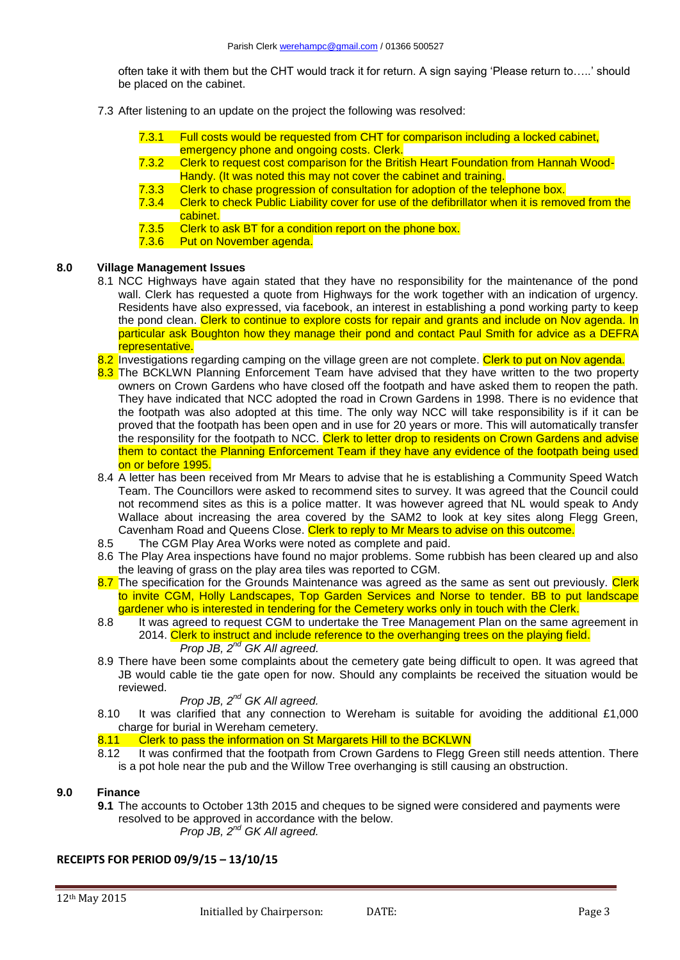often take it with them but the CHT would track it for return. A sign saying 'Please return to…..' should be placed on the cabinet.

- 7.3 After listening to an update on the project the following was resolved:
	- 7.3.1 Full costs would be requested from CHT for comparison including a locked cabinet, emergency phone and ongoing costs. Clerk.
	- 7.3.2 Clerk to request cost comparison for the British Heart Foundation from Hannah Wood-Handy. (It was noted this may not cover the cabinet and training.
	- 7.3.3 Clerk to chase progression of consultation for adoption of the telephone box.
	- 7.3.4 Clerk to check Public Liability cover for use of the defibrillator when it is removed from the cabinet.
	- 7.3.5 Clerk to ask BT for a condition report on the phone box.
	- 7.3.6 Put on November agenda.

## **8.0 Village Management Issues**

- 8.1 NCC Highways have again stated that they have no responsibility for the maintenance of the pond wall. Clerk has requested a quote from Highways for the work together with an indication of urgency. Residents have also expressed, via facebook, an interest in establishing a pond working party to keep the pond clean. Clerk to continue to explore costs for repair and grants and include on Nov agenda. In particular ask Boughton how they manage their pond and contact Paul Smith for advice as a DEFRA representative.
- 8.2 Investigations regarding camping on the village green are not complete. Clerk to put on Nov agenda.
- 8.3 The BCKLWN Planning Enforcement Team have advised that they have written to the two property owners on Crown Gardens who have closed off the footpath and have asked them to reopen the path. They have indicated that NCC adopted the road in Crown Gardens in 1998. There is no evidence that the footpath was also adopted at this time. The only way NCC will take responsibility is if it can be proved that the footpath has been open and in use for 20 years or more. This will automatically transfer the responsility for the footpath to NCC. Clerk to letter drop to residents on Crown Gardens and advise them to contact the Planning Enforcement Team if they have any evidence of the footpath being used on or before 1995.
- 8.4 A letter has been received from Mr Mears to advise that he is establishing a Community Speed Watch Team. The Councillors were asked to recommend sites to survey. It was agreed that the Council could not recommend sites as this is a police matter. It was however agreed that NL would speak to Andy Wallace about increasing the area covered by the SAM2 to look at key sites along Flegg Green, Cavenham Road and Queens Close. Clerk to reply to Mr Mears to advise on this outcome.
- 8.5 The CGM Play Area Works were noted as complete and paid.
- 8.6 The Play Area inspections have found no major problems. Some rubbish has been cleared up and also the leaving of grass on the play area tiles was reported to CGM.
- 8.7 The specification for the Grounds Maintenance was agreed as the same as sent out previously. Clerk to invite CGM, Holly Landscapes, Top Garden Services and Norse to tender. BB to put landscape gardener who is interested in tendering for the Cemetery works only in touch with the Clerk.
- 8.8 It was agreed to request CGM to undertake the Tree Management Plan on the same agreement in 2014. Clerk to instruct and include reference to the overhanging trees on the playing field. *Prop JB, 2nd GK All agreed.*
- 8.9 There have been some complaints about the cemetery gate being difficult to open. It was agreed that JB would cable tie the gate open for now. Should any complaints be received the situation would be reviewed.

## *Prop JB, 2nd GK All agreed.*

8.10 It was clarified that any connection to Wereham is suitable for avoiding the additional £1,000 charge for burial in Wereham cemetery.

# 8.11 Clerk to pass the information on St Margarets Hill to the BCKLWN<br>8.12 It was confirmed that the footpath from Crown Gardens to Flegg G

It was confirmed that the footpath from Crown Gardens to Flegg Green still needs attention. There is a pot hole near the pub and the Willow Tree overhanging is still causing an obstruction.

## **9.0 Finance**

**9.1** The accounts to October 13th 2015 and cheques to be signed were considered and payments were resolved to be approved in accordance with the below. *Prop JB, 2nd GK All agreed.*

# **RECEIPTS FOR PERIOD 09/9/15 – 13/10/15**